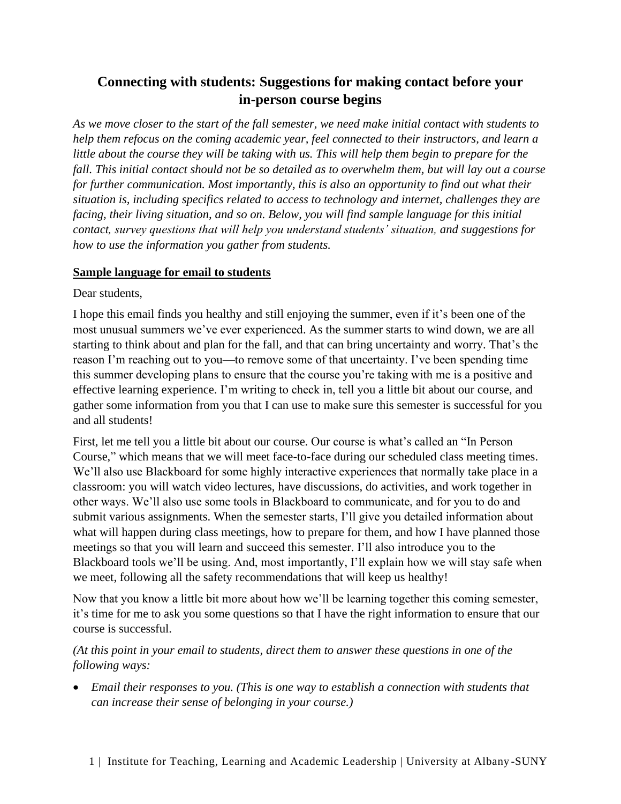# **Connecting with students: Suggestions for making contact before your in-person course begins**

*As we move closer to the start of the fall semester, we need make initial contact with students to help them refocus on the coming academic year, feel connected to their instructors, and learn a little about the course they will be taking with us. This will help them begin to prepare for the fall. This initial contact should not be so detailed as to overwhelm them, but will lay out a course for further communication. Most importantly, this is also an opportunity to find out what their situation is, including specifics related to access to technology and internet, challenges they are facing, their living situation, and so on. Below, you will find sample language for this initial contact, survey questions that will help you understand students' situation, and suggestions for how to use the information you gather from students.*

#### **Sample language for email to students**

Dear students

I hope this email finds you healthy and still enjoying the summer, even if it's been one of the most unusual summers we've ever experienced. As the summer starts to wind down, we are all starting to think about and plan for the fall, and that can bring uncertainty and worry. That's the reason I'm reaching out to you—to remove some of that uncertainty. I've been spending time this summer developing plans to ensure that the course you're taking with me is a positive and effective learning experience. I'm writing to check in, tell you a little bit about our course, and gather some information from you that I can use to make sure this semester is successful for you and all students!

First, let me tell you a little bit about our course. Our course is what's called an "In Person Course," which means that we will meet face-to-face during our scheduled class meeting times. We'll also use Blackboard for some highly interactive experiences that normally take place in a classroom: you will watch video lectures, have discussions, do activities, and work together in other ways. We'll also use some tools in Blackboard to communicate, and for you to do and submit various assignments. When the semester starts, I'll give you detailed information about what will happen during class meetings, how to prepare for them, and how I have planned those meetings so that you will learn and succeed this semester. I'll also introduce you to the Blackboard tools we'll be using. And, most importantly, I'll explain how we will stay safe when we meet, following all the safety recommendations that will keep us healthy!

Now that you know a little bit more about how we'll be learning together this coming semester, it's time for me to ask you some questions so that I have the right information to ensure that our course is successful.

## *(At this point in your email to students, direct them to answer these questions in one of the following ways:*

• *Email their responses to you. (This is one way to establish a connection with students that can increase their sense of belonging in your course.)*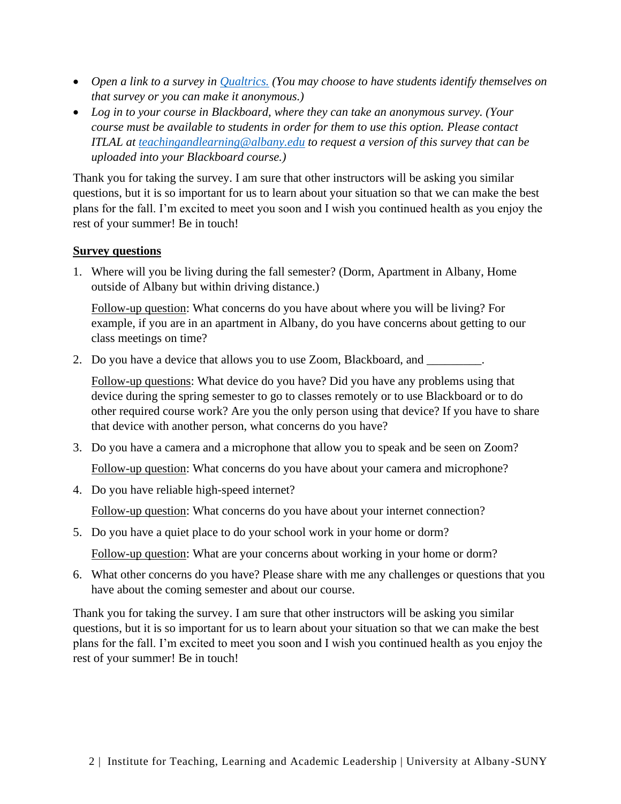- *Open a link to a survey in [Qualtrics.](https://wiki.albany.edu/display/qualtrics/Qualtrics+Home) (You may choose to have students identify themselves on that survey or you can make it anonymous.)*
- *Log in to your course in Blackboard, where they can take an anonymous survey. (Your course must be available to students in order for them to use this option. Please contact ITLAL at [teachingandlearning@albany.edu](mailto:teachingandlearning@albany.edu) to request a version of this survey that can be uploaded into your Blackboard course.)*

Thank you for taking the survey. I am sure that other instructors will be asking you similar questions, but it is so important for us to learn about your situation so that we can make the best plans for the fall. I'm excited to meet you soon and I wish you continued health as you enjoy the rest of your summer! Be in touch!

#### **Survey questions**

1. Where will you be living during the fall semester? (Dorm, Apartment in Albany, Home outside of Albany but within driving distance.)

Follow-up question: What concerns do you have about where you will be living? For example, if you are in an apartment in Albany, do you have concerns about getting to our class meetings on time?

2. Do you have a device that allows you to use Zoom, Blackboard, and \_\_\_\_\_\_\_\_\_.

Follow-up questions: What device do you have? Did you have any problems using that device during the spring semester to go to classes remotely or to use Blackboard or to do other required course work? Are you the only person using that device? If you have to share that device with another person, what concerns do you have?

3. Do you have a camera and a microphone that allow you to speak and be seen on Zoom?

Follow-up question: What concerns do you have about your camera and microphone?

4. Do you have reliable high-speed internet?

Follow-up question: What concerns do you have about your internet connection?

5. Do you have a quiet place to do your school work in your home or dorm?

Follow-up question: What are your concerns about working in your home or dorm?

6. What other concerns do you have? Please share with me any challenges or questions that you have about the coming semester and about our course.

Thank you for taking the survey. I am sure that other instructors will be asking you similar questions, but it is so important for us to learn about your situation so that we can make the best plans for the fall. I'm excited to meet you soon and I wish you continued health as you enjoy the rest of your summer! Be in touch!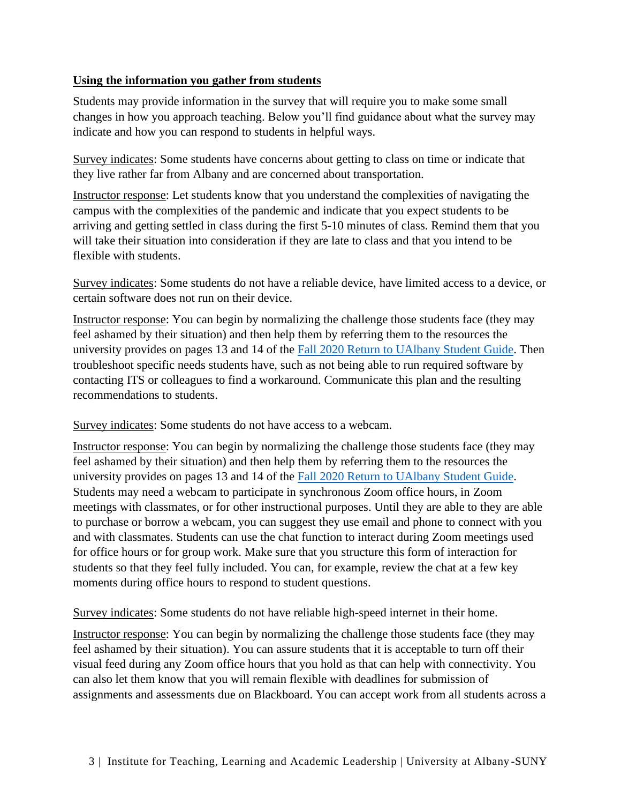### **Using the information you gather from students**

Students may provide information in the survey that will require you to make some small changes in how you approach teaching. Below you'll find guidance about what the survey may indicate and how you can respond to students in helpful ways.

Survey indicates: Some students have concerns about getting to class on time or indicate that they live rather far from Albany and are concerned about transportation.

Instructor response: Let students know that you understand the complexities of navigating the campus with the complexities of the pandemic and indicate that you expect students to be arriving and getting settled in class during the first 5-10 minutes of class. Remind them that you will take their situation into consideration if they are late to class and that you intend to be flexible with students.

Survey indicates: Some students do not have a reliable device, have limited access to a device, or certain software does not run on their device.

Instructor response: You can begin by normalizing the challenge those students face (they may feel ashamed by their situation) and then help them by referring them to the resources the university provides on pages 13 and 14 of the [Fall 2020 Return to UAlbany Student Guide.](http://albany.edu/covid-19/student-guide.pdf) Then troubleshoot specific needs students have, such as not being able to run required software by contacting ITS or colleagues to find a workaround. Communicate this plan and the resulting recommendations to students.

Survey indicates: Some students do not have access to a webcam.

Instructor response: You can begin by normalizing the challenge those students face (they may feel ashamed by their situation) and then help them by referring them to the resources the university provides on pages 13 and 14 of the [Fall 2020 Return to UAlbany Student Guide.](http://albany.edu/covid-19/student-guide.pdf) Students may need a webcam to participate in synchronous Zoom office hours, in Zoom meetings with classmates, or for other instructional purposes. Until they are able to they are able to purchase or borrow a webcam, you can suggest they use email and phone to connect with you and with classmates. Students can use the chat function to interact during Zoom meetings used for office hours or for group work. Make sure that you structure this form of interaction for students so that they feel fully included. You can, for example, review the chat at a few key moments during office hours to respond to student questions.

Survey indicates: Some students do not have reliable high-speed internet in their home.

Instructor response: You can begin by normalizing the challenge those students face (they may feel ashamed by their situation). You can assure students that it is acceptable to turn off their visual feed during any Zoom office hours that you hold as that can help with connectivity. You can also let them know that you will remain flexible with deadlines for submission of assignments and assessments due on Blackboard. You can accept work from all students across a